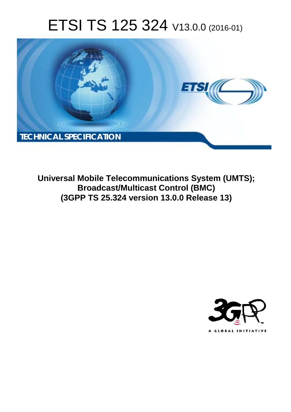# ETSI TS 125 324 V13.0.0 (2016-01)



**Universal Mobile Tel elecommunications System ( (UMTS); Broadcast/Multicast Control (BMC) (3GPP TS 25.3 .324 version 13.0.0 Release 13 13)** 

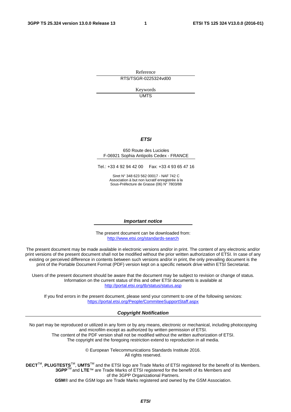Reference RTS/TSGR-0225324vd00

> Keywords UMTS

#### *ETSI*

#### 650 Route des Lucioles F-06921 Sophia Antipolis Cedex - FRANCE

Tel.: +33 4 92 94 42 00 Fax: +33 4 93 65 47 16

Siret N° 348 623 562 00017 - NAF 742 C Association à but non lucratif enregistrée à la Sous-Préfecture de Grasse (06) N° 7803/88

#### *Important notice*

The present document can be downloaded from: <http://www.etsi.org/standards-search>

The present document may be made available in electronic versions and/or in print. The content of any electronic and/or print versions of the present document shall not be modified without the prior written authorization of ETSI. In case of any existing or perceived difference in contents between such versions and/or in print, the only prevailing document is the print of the Portable Document Format (PDF) version kept on a specific network drive within ETSI Secretariat.

Users of the present document should be aware that the document may be subject to revision or change of status. Information on the current status of this and other ETSI documents is available at <http://portal.etsi.org/tb/status/status.asp>

If you find errors in the present document, please send your comment to one of the following services: <https://portal.etsi.org/People/CommiteeSupportStaff.aspx>

#### *Copyright Notification*

No part may be reproduced or utilized in any form or by any means, electronic or mechanical, including photocopying and microfilm except as authorized by written permission of ETSI.

The content of the PDF version shall not be modified without the written authorization of ETSI. The copyright and the foregoing restriction extend to reproduction in all media.

> © European Telecommunications Standards Institute 2016. All rights reserved.

**DECT**TM, **PLUGTESTS**TM, **UMTS**TM and the ETSI logo are Trade Marks of ETSI registered for the benefit of its Members. **3GPP**TM and **LTE**™ are Trade Marks of ETSI registered for the benefit of its Members and of the 3GPP Organizational Partners.

**GSM**® and the GSM logo are Trade Marks registered and owned by the GSM Association.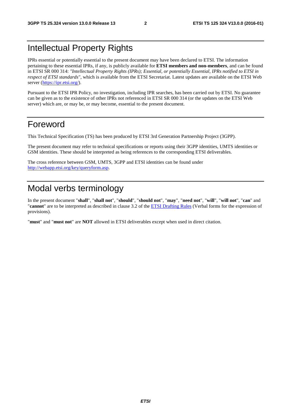# Intellectual Property Rights

IPRs essential or potentially essential to the present document may have been declared to ETSI. The information pertaining to these essential IPRs, if any, is publicly available for **ETSI members and non-members**, and can be found in ETSI SR 000 314: *"Intellectual Property Rights (IPRs); Essential, or potentially Essential, IPRs notified to ETSI in respect of ETSI standards"*, which is available from the ETSI Secretariat. Latest updates are available on the ETSI Web server [\(https://ipr.etsi.org/](https://ipr.etsi.org/)).

Pursuant to the ETSI IPR Policy, no investigation, including IPR searches, has been carried out by ETSI. No guarantee can be given as to the existence of other IPRs not referenced in ETSI SR 000 314 (or the updates on the ETSI Web server) which are, or may be, or may become, essential to the present document.

# Foreword

This Technical Specification (TS) has been produced by ETSI 3rd Generation Partnership Project (3GPP).

The present document may refer to technical specifications or reports using their 3GPP identities, UMTS identities or GSM identities. These should be interpreted as being references to the corresponding ETSI deliverables.

The cross reference between GSM, UMTS, 3GPP and ETSI identities can be found under [http://webapp.etsi.org/key/queryform.asp.](http://webapp.etsi.org/key/queryform.asp)

# Modal verbs terminology

In the present document "**shall**", "**shall not**", "**should**", "**should not**", "**may**", "**need not**", "**will**", "**will not**", "**can**" and "**cannot**" are to be interpreted as described in clause 3.2 of the [ETSI Drafting Rules](http://portal.etsi.org/Help/editHelp!/Howtostart/ETSIDraftingRules.aspx) (Verbal forms for the expression of provisions).

"**must**" and "**must not**" are **NOT** allowed in ETSI deliverables except when used in direct citation.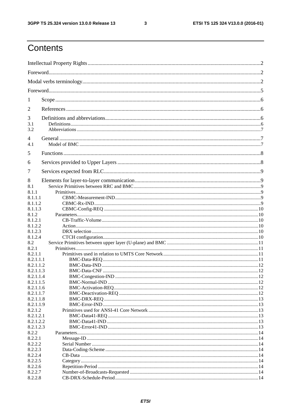$\mathbf{3}$ 

# Contents

| 1                      |  |  |  |
|------------------------|--|--|--|
| 2                      |  |  |  |
| 3                      |  |  |  |
| 3.1<br>3.2             |  |  |  |
| $\overline{4}$         |  |  |  |
| 4.1                    |  |  |  |
| 5                      |  |  |  |
| 6                      |  |  |  |
| 7                      |  |  |  |
| 8                      |  |  |  |
| 8.1<br>8.1.1           |  |  |  |
| 8.1.1.1                |  |  |  |
| 8.1.1.2                |  |  |  |
| 8.1.1.3                |  |  |  |
| 8.1.2<br>8.1.2.1       |  |  |  |
| 8.1.2.2                |  |  |  |
| 8.1.2.3                |  |  |  |
| 8.1.2.4                |  |  |  |
| 8.2                    |  |  |  |
| 8.2.1                  |  |  |  |
| 8.2.1.1                |  |  |  |
| 8.2.1.1.1              |  |  |  |
| 8.2.1.1.2              |  |  |  |
| 8.2.1.1.3              |  |  |  |
| 8.2.1.1.4              |  |  |  |
| 8.2.1.1.5              |  |  |  |
| 8.2.1.1.6              |  |  |  |
| 8.2.1.1.7              |  |  |  |
| 8.2.1.1.8<br>8.2.1.1.9 |  |  |  |
| 8.2.1.2                |  |  |  |
| 8.2.1.2.1              |  |  |  |
| 8.2.1.2.2              |  |  |  |
| 8.2.1.2.3              |  |  |  |
| 8.2.2                  |  |  |  |
| 8.2.2.1                |  |  |  |
| 8.2.2.2                |  |  |  |
| 8.2.2.3                |  |  |  |
| 8.2.2.4                |  |  |  |
| 8.2.2.5                |  |  |  |
| 8.2.2.6                |  |  |  |
| 8.2.2.7                |  |  |  |
| 8.2.2.8                |  |  |  |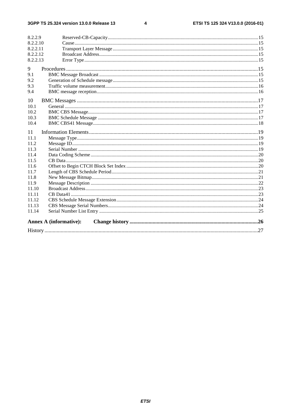$\overline{\mathbf{4}}$ 

| 8.2.2.9  |                               |  |
|----------|-------------------------------|--|
| 8.2.2.10 |                               |  |
| 8.2.2.11 |                               |  |
| 8.2.2.12 |                               |  |
| 8.2.2.13 |                               |  |
| 9        |                               |  |
| 9.1      |                               |  |
| 9.2      |                               |  |
| 9.3      |                               |  |
| 9.4      |                               |  |
| 10       |                               |  |
| 10.1     |                               |  |
| 10.2     |                               |  |
| 10.3     |                               |  |
| 10.4     |                               |  |
| 11       |                               |  |
| 11.1     |                               |  |
| 11.2     |                               |  |
| 11.3     |                               |  |
| 11.4     |                               |  |
| 11.5     |                               |  |
| 11.6     |                               |  |
| 11.7     |                               |  |
| 11.8     |                               |  |
| 11.9     |                               |  |
| 11.10    |                               |  |
| 11.11    |                               |  |
| 11.12    |                               |  |
| 11.13    |                               |  |
| 11.14    |                               |  |
|          | <b>Annex A (informative):</b> |  |
|          |                               |  |
|          |                               |  |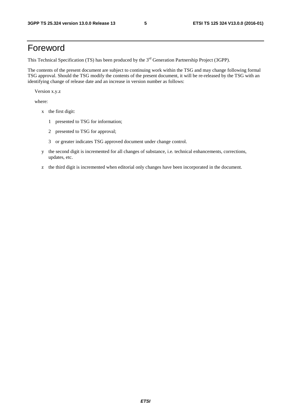# Foreword

This Technical Specification (TS) has been produced by the 3<sup>rd</sup> Generation Partnership Project (3GPP).

The contents of the present document are subject to continuing work within the TSG and may change following formal TSG approval. Should the TSG modify the contents of the present document, it will be re-released by the TSG with an identifying change of release date and an increase in version number as follows:

Version x.y.z

where:

- x the first digit:
	- 1 presented to TSG for information;
	- 2 presented to TSG for approval;
	- 3 or greater indicates TSG approved document under change control.
- y the second digit is incremented for all changes of substance, i.e. technical enhancements, corrections, updates, etc.
- z the third digit is incremented when editorial only changes have been incorporated in the document.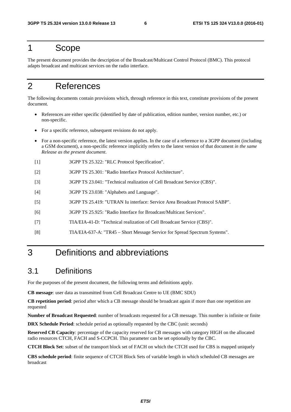# 1 Scope

The present document provides the description of the Broadcast/Multicast Control Protocol (BMC). This protocol adapts broadcast and multicast services on the radio interface.

# 2 References

The following documents contain provisions which, through reference in this text, constitute provisions of the present document.

- References are either specific (identified by date of publication, edition number, version number, etc.) or non-specific.
- For a specific reference, subsequent revisions do not apply.
- For a non-specific reference, the latest version applies. In the case of a reference to a 3GPP document (including a GSM document), a non-specific reference implicitly refers to the latest version of that document *in the same Release as the present document*.
- [1] 3GPP TS 25.322: "RLC Protocol Specification".
- [2] 3GPP TS 25.301: "Radio Interface Protocol Architecture".
- [3] 3GPP TS 23.041: "Technical realization of Cell Broadcast Service (CBS)".
- [4] 3GPP TS 23.038: "Alphabets and Language".
- [5] 3GPP TS 25.419: "UTRAN Iu interface: Service Area Broadcast Protocol SABP".
- [6] 3GPP TS 25.925: "Radio Interface for Broadcast/Multicast Services".
- [7] TIA/EIA-41-D: "Technical realization of Cell Broadcast Service (CBS)".
- [8] TIA/EIA-637-A: "TR45 Short Message Service for Spread Spectrum Systems".

# 3 Definitions and abbreviations

## 3.1 Definitions

For the purposes of the present document, the following terms and definitions apply.

**CB message**: user data as transmitted from Cell Broadcast Centre to UE (BMC SDU)

**CB repetition period**: period after which a CB message should be broadcast again if more than one repetition are requested

**Number of Broadcast Requested**: number of broadcasts requested for a CB message. This number is infinite or finite

**DRX Schedule Period**: schedule period as optionally requested by the CBC (unit: seconds)

**Reserved CB Capacity**: percentage of the capacity reserved for CB messages with category HIGH on the allocated radio resources CTCH, FACH and S-CCPCH. This parameter can be set optionally by the CBC.

**CTCH Block Set**: subset of the transport block set of FACH on which the CTCH used for CBS is mapped uniquely

**CBS schedule period**: finite sequence of CTCH Block Sets of variable length in which scheduled CB messages are broadcast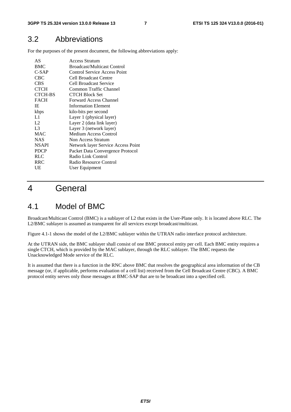# 3.2 Abbreviations

For the purposes of the present document, the following abbreviations apply:

| AS             | <b>Access Stratum</b>               |  |  |  |
|----------------|-------------------------------------|--|--|--|
| <b>BMC</b>     | <b>Broadcast/Multicast Control</b>  |  |  |  |
| $C-SAP$        | <b>Control Service Access Point</b> |  |  |  |
| CBC            | Cell Broadcast Centre               |  |  |  |
| CBS            | Cell Broadcast Service              |  |  |  |
| <b>CTCH</b>    | Common Traffic Channel              |  |  |  |
| <b>CTCH-BS</b> | <b>CTCH Block Set</b>               |  |  |  |
| <b>FACH</b>    | <b>Forward Access Channel</b>       |  |  |  |
| IE             | <b>Information Element</b>          |  |  |  |
| kbps           | kilo-bits per second                |  |  |  |
| L1             | Layer 1 (physical layer)            |  |  |  |
| L2             | Layer 2 (data link layer)           |  |  |  |
| L <sub>3</sub> | Layer 3 (network layer)             |  |  |  |
| <b>MAC</b>     | Medium Access Control               |  |  |  |
| <b>NAS</b>     | Non Access Stratum                  |  |  |  |
| <b>NSAPI</b>   | Network layer Service Access Point  |  |  |  |
| <b>PDCP</b>    | Packet Data Convergence Protocol    |  |  |  |
| <b>RLC</b>     | Radio Link Control                  |  |  |  |
| <b>RRC</b>     | Radio Resource Control              |  |  |  |
| UE             | User Equipment                      |  |  |  |
|                |                                     |  |  |  |

# 4 General

# 4.1 Model of BMC

Broadcast/Multicast Control (BMC) is a sublayer of L2 that exists in the User-Plane only. It is located above RLC. The L2/BMC sublayer is assumed as transparent for all services except broadcast/multicast.

Figure 4.1-1 shows the model of the L2/BMC sublayer within the UTRAN radio interface protocol architecture.

At the UTRAN side, the BMC sublayer shall consist of one BMC protocol entity per cell. Each BMC entity requires a single CTCH, which is provided by the MAC sublayer, through the RLC sublayer. The BMC requests the Unacknowledged Mode service of the RLC.

It is assumed that there is a function in the RNC above BMC that resolves the geographical area information of the CB message (or, if applicable, performs evaluation of a cell list) received from the Cell Broadcast Centre (CBC). A BMC protocol entity serves only those messages at BMC-SAP that are to be broadcast into a specified cell.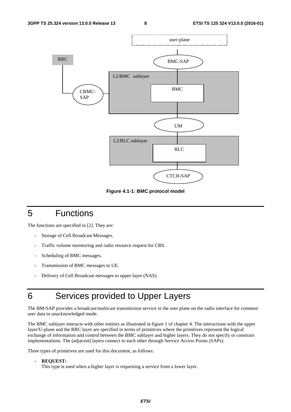

**Figure 4.1-1: BMC protocol model** 

# 5 Functions

The functions are specified in [2]. They are:

- Storage of Cell Broadcast Messages.
- Traffic volume monitoring and radio resource request for CBS.
- Scheduling of BMC messages.
- Transmission of BMC messages to UE.
- Delivery of Cell Broadcast messages to upper layer (NAS).

# 6 Services provided to Upper Layers

The BM-SAP provides a broadcast/multicast transmission service in the user plane on the radio interface for common user data in unacknowledged mode.

The BMC sublayer interacts with other entities as illustrated in figure 1 of chapter 4. The interactions with the upper layer/U-plane and the RRC layer are specified in terms of primitives where the primitives represent the logical exchange of information and control between the BMC sublayer and higher layers. They do not specify or constrain implementations. The (adjacent) layers connect to each other through Service Access Points (SAPs).

Three types of primitives are used for this document, as follows:

- **REQUEST:** 
	- This type is used when a higher layer is requesting a service from a lower layer.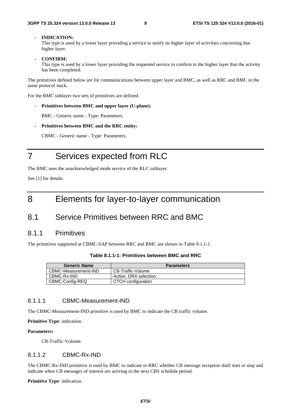#### **- INDICATION:**

This type is used by a lower layer providing a service to notify its higher layer of activities concerning that higher layer.

**- CONFIRM:** 

This type is used by a lower layer providing the requested service to confirm to the higher layer that the activity has been completed.

The primitives defined below are for communications between upper layer and BMC, as well as RRC and BMC in the same protocol stack.

For the BMC sublayer two sets of primitives are defined.

**- Primitives between BMC and upper layer (U-plane):** 

BMC - Generic name - Type: Parameters.

**- Primitives between BMC and the RRC entity:** 

CBMC - Generic name - Type: Parameters.

# 7 Services expected from RLC

The BMC uses the unacknowledged mode service of the RLC sublayer.

See [1] for details.

# 8 Elements for layer-to-layer communication

# 8.1 Service Primitives between RRC and BMC

### 8.1.1 Primitives

The primitives supported at CBMC-SAP between RRC and BMC are shown in Table 8.1.1-1.

| <b>Generic Name</b>  | <b>Parameters</b>     |
|----------------------|-----------------------|
| CBMC-Measurement-IND | CB-Traffic-Volume     |
| CBMC-Rx-IND          | Action, DRX selection |
| CBMC-Config-REQ      | CTCH configuration    |

### 8.1.1.1 CBMC-Measurement-IND

The CBMC-Measurement-IND primitive is used by BMC to indicate the CB traffic volume.

**Primitive Type**: indication.

#### **Parameters:**

CB-Traffic-Volume.

### 8.1.1.2 CBMC-Rx-IND

The CBMC-Rx-IND primitive is used by BMC to indicate to RRC whether CB message reception shall start or stop and indicate when CB messages of interest are arriving in the next CBS schedule period.

**Primitive Type**: indication.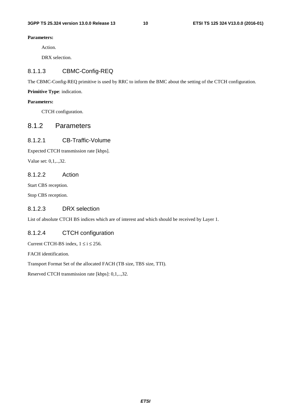#### **Parameters:**

Action.

DRX selection.

### 8.1.1.3 CBMC-Config-REQ

The CBMC-Config-REQ primitive is used by RRC to inform the BMC about the setting of the CTCH configuration.

**Primitive Type**: indication.

#### **Parameters:**

CTCH configuration.

### 8.1.2 Parameters

### 8.1.2.1 CB-Traffic-Volume

Expected CTCH transmission rate [kbps].

Value set: 0,1,..,32.

### 8.1.2.2 Action

Start CBS reception.

Stop CBS reception.

### 8.1.2.3 DRX selection

List of absolute CTCH BS indices which are of interest and which should be received by Layer 1.

### 8.1.2.4 CTCH configuration

Current CTCH-BS index,  $1 \le i \le 256$ .

FACH identification.

Transport Format Set of the allocated FACH (TB size, TBS size, TTI).

Reserved CTCH transmission rate [kbps]: 0,1,..,32.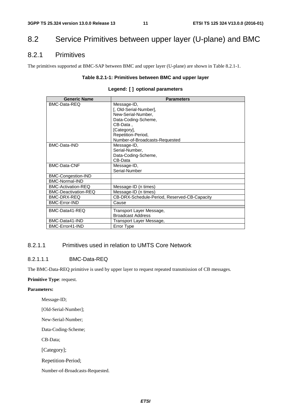# 8.2 Service Primitives between upper layer (U-plane) and BMC

### 8.2.1 Primitives

The primitives supported at BMC-SAP between BMC and upper layer (U-plane) are shown in Table 8.2.1-1.

#### **Table 8.2.1-1: Primitives between BMC and upper layer**

| <b>Generic Name</b>         | <b>Parameters</b>                            |  |  |  |  |
|-----------------------------|----------------------------------------------|--|--|--|--|
| BMC-Data-REQ                | Message-ID,                                  |  |  |  |  |
|                             | [, Old-Serial-Number],                       |  |  |  |  |
|                             | New-Serial-Number.                           |  |  |  |  |
|                             | Data-Coding-Scheme,                          |  |  |  |  |
|                             | CB-Data.                                     |  |  |  |  |
|                             | [Category],                                  |  |  |  |  |
|                             | Repetition-Period,                           |  |  |  |  |
|                             | Number-of-Broadcasts-Requested               |  |  |  |  |
| BMC-Data-IND                | Message-ID,                                  |  |  |  |  |
|                             | Serial-Number,                               |  |  |  |  |
|                             | Data-Coding-Scheme,                          |  |  |  |  |
|                             | CB-Data                                      |  |  |  |  |
| <b>BMC-Data-CNF</b>         | Message-ID,                                  |  |  |  |  |
|                             | Serial-Number                                |  |  |  |  |
| <b>BMC-Congestion-IND</b>   |                                              |  |  |  |  |
| <b>BMC-Normal-IND</b>       |                                              |  |  |  |  |
| <b>BMC-Activation-REQ</b>   | Message-ID (n times)                         |  |  |  |  |
| <b>BMC-Deactivation-REQ</b> | Message-ID (n times)                         |  |  |  |  |
| BMC-DRX-REQ                 | CB-DRX-Schedule-Period, Reserved-CB-Capacity |  |  |  |  |
| <b>BMC-Error-IND</b>        | Cause                                        |  |  |  |  |
| BMC-Data41-REQ              | Transport Layer Message,                     |  |  |  |  |
|                             | <b>Broadcast Address</b>                     |  |  |  |  |
| BMC-Data41-IND              | Transport Layer Message,                     |  |  |  |  |
| BMC-Error41-IND             | Error Type                                   |  |  |  |  |

### 8.2.1.1 Primitives used in relation to UMTS Core Network

### 8.2.1.1.1 BMC-Data-REQ

The BMC-Data-REQ primitive is used by upper layer to request repeated transmission of CB messages.

#### **Primitive Type**: request.

#### **Parameters:**

Message-ID;

[Old-Serial-Number];

New-Serial-Number;

Data-Coding-Scheme;

CB-Data;

[Category];

Repetition-Period;

Number-of-Broadcasts-Requested.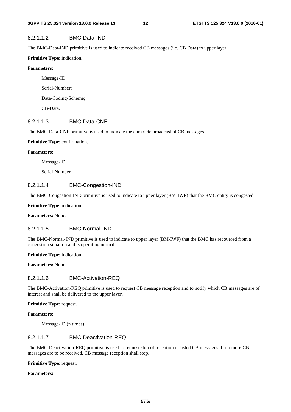### 8.2.1.1.2 BMC-Data-IND

The BMC-Data-IND primitive is used to indicate received CB messages (i.e. CB Data) to upper layer.

### **Primitive Type**: indication.

### **Parameters:**

 Message-ID; Serial-Number; Data-Coding-Scheme; CB-Data.

### 8.2.1.1.3 BMC-Data-CNF

The BMC-Data-CNF primitive is used to indicate the complete broadcast of CB messages.

### **Primitive Type**: confirmation.

### **Parameters:**

Message-ID.

Serial-Number.

### 8.2.1.1.4 BMC-Congestion-IND

The BMC-Congestion-IND primitive is used to indicate to upper layer (BM-IWF) that the BMC entity is congested.

**Primitive Type**: indication.

**Parameters:** None.

### 8.2.1.1.5 BMC-Normal-IND

The BMC-Normal-IND primitive is used to indicate to upper layer (BM-IWF) that the BMC has recovered from a congestion situation and is operating normal.

**Primitive Type**: indication.

**Parameters:** None.

### 8.2.1.1.6 BMC-Activation-REQ

The BMC-Activation-REQ primitive is used to request CB message reception and to notify which CB messages are of interest and shall be delivered to the upper layer.

#### **Primitive Type**: request.

#### **Parameters:**

Message-ID (n times).

### 8.2.1.1.7 BMC-Deactivation-REQ

The BMC-Deactivation-REQ primitive is used to request stop of reception of listed CB messages. If no more CB messages are to be received, CB message reception shall stop.

**Primitive Type**: request.

#### **Parameters:**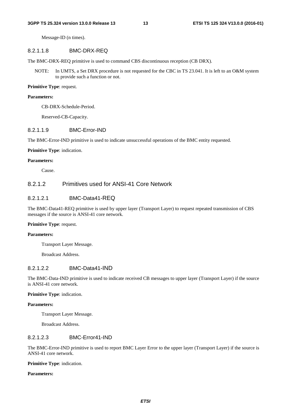Message-ID (n times).

#### 8.2.1.1.8 BMC-DRX-REQ

The BMC-DRX-REQ primitive is used to command CBS discontinuous reception (CB DRX).

NOTE: In UMTS, a Set DRX procedure is not requested for the CBC in TS 23.041. It is left to an O&M system to provide such a function or not.

#### **Primitive Type**: request.

#### **Parameters:**

CB-DRX-Schedule-Period.

Reserved-CB-Capacity.

#### 8.2.1.1.9 BMC-Error-IND

The BMC-Error-IND primitive is used to indicate unsuccessful operations of the BMC entity requested.

#### **Primitive Type**: indication.

#### **Parameters:**

Cause.

### 8.2.1.2 Primitives used for ANSI-41 Core Network

### 8.2.1.2.1 BMC-Data41-RFQ

The BMC-Data41-REQ primitive is used by upper layer (Transport Layer) to request repeated transmission of CBS messages if the source is ANSI-41 core network.

#### **Primitive Type**: request.

#### **Parameters:**

Transport Layer Message.

Broadcast Address.

### 8.2.1.2.2 BMC-Data41-IND

The BMC-Data-IND primitive is used to indicate received CB messages to upper layer (Transport Layer) if the source is ANSI-41 core network.

#### **Primitive Type**: indication.

#### **Parameters:**

Transport Layer Message.

Broadcast Address.

#### 8.2.1.2.3 BMC-Error41-IND

The BMC-Error-IND primitive is used to report BMC Layer Error to the upper layer (Transport Layer) if the source is ANSI-41 core network.

**Primitive Type**: indication.

#### **Parameters:**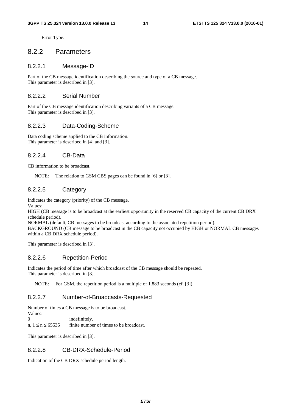Error Type.

### 8.2.2 Parameters

### 8.2.2.1 Message-ID

Part of the CB message identification describing the source and type of a CB message. This parameter is described in [3].

### 8.2.2.2 Serial Number

Part of the CB message identification describing variants of a CB message. This parameter is described in [3].

### 8.2.2.3 Data-Coding-Scheme

Data coding scheme applied to the CB information. This parameter is described in [4] and [3].

### 8.2.2.4 CB-Data

CB information to be broadcast.

NOTE: The relation to GSM CBS pages can be found in [6] or [3].

### 8.2.2.5 Category

Indicates the category (priority) of the CB message.

Values:

HIGH (CB message is to be broadcast at the earliest opportunity in the reserved CB capacity of the current CB DRX schedule period).

NORMAL (default, CB messages to be broadcast according to the associated repetition period).

BACKGROUND (CB message to be broadcast in the CB capacity not occupied by HIGH or NORMAL CB messages within a CB DRX schedule period).

This parameter is described in [3].

### 8.2.2.6 Repetition-Period

Indicates the period of time after which broadcast of the CB message should be repeated. This parameter is described in [3].

NOTE: For GSM, the repetition period is a multiple of 1.883 seconds (cf. [3]).

### 8.2.2.7 Number-of-Broadcasts-Requested

Number of times a CB message is to be broadcast.

Values:<br>0 indefinitely.

n,  $1 \le n \le 65535$  finite number of times to be broadcast.

This parameter is described in [3].

### 8.2.2.8 CB-DRX-Schedule-Period

Indication of the CB DRX schedule period length.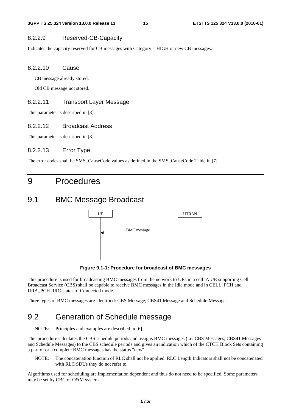### 8.2.2.9 Reserved-CB-Capacity

Indicates the capacity reserved for CB messages with Category = HIGH or new CB messages.

#### 8.2.2.10 Cause

CB message already stored.

Old CB message not stored.

#### 8.2.2.11 Transport Layer Message

This parameter is described in [8].

### 8.2.2.12 Broadcast Address

This parameter is described in [8].

#### 8.2.2.13 Error Type

The error codes shall be SMS\_CauseCode values as defined in the SMS\_CauseCode Table in [7].

# 9 Procedures

## 9.1 BMC Message Broadcast



**Figure 9.1-1: Procedure for broadcast of BMC messages** 

This procedure is used for broadcasting BMC messages from the network to UEs in a cell. A UE supporting Cell Broadcast Service (CBS) shall be capable to receive BMC messages in the Idle mode and in CELL\_PCH and URA\_PCH RRC-states of Connected mode.

Three types of BMC messages are identified: CBS Message, CBS41 Message and Schedule Message.

# 9.2 Generation of Schedule message

NOTE: Principles and examples are described in [6].

This procedure calculates the CBS schedule periods and assigns BMC messages (i.e. CBS Messages, CBS41 Messages and Schedule Messages) to the CBS schedule periods and gives an indication which of the CTCH Block Sets containing a part of or a complete BMC messages has the status "new".

NOTE: The concatenation function of RLC shall not be applied. RLC Length Indicators shall not be concatenated with RLC SDUs they do not refer to.

Algorithms used for scheduling are implementation dependent and thus do not need to be specified. Some parameters may be set by CBC or O&M system.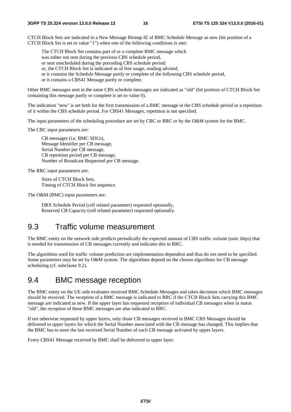CTCH Block Sets are indicated in a New Message Bitmap IE of BMC Schedule Message as new (bit position of a CTCH Block Set is set to value "1") when one of the following conditions is met:

The CTCH Block Set contains part of or a complete BMC message which

was either not sent during the previous CBS schedule period,

or sent unscheduled during the preceding CBS schedule period;

or, the CTCH Block Set is indicated as of free usage, reading advised,

- or it contains the Schedule Message partly or complete of the following CBS schedule period,
- or it contains a CBS41 Message partly or complete.

Other BMC messages sent in the same CBS schedule messages are indicated as "old" (bit position of CTCH Block Set containing this message partly or complete is set to value 0).

The indication "new" is set both for the first transmission of a BMC message in the CBS schedule period or a repetition of it within the CBS schedule period. For CBS41 Messages, repetition is not specified.

The input parameters of the scheduling procedure are set by CBC or RRC or by the O&M system for the BMC.

The CBC input parameters are:

 CB messages (i.e. BMC SDUs), Message Identifier per CB message, Serial Number per CB message, CB repetition period per CB message, Number of Broadcast Requested per CB message.

The RRC input parameters are:

 Sizes of CTCH Block Sets, Timing of CTCH Block Set sequence.

The O&M (BMC) input parameters are:

 DRX Schedule Period (cell related parameter) requested optionally, Reserved CB Capacity (cell related parameter) requested optionally.

# 9.3 Traffic volume measurement

The BMC entity on the network side predicts periodically the expected amount of CBS traffic volume (unit: kbps) that is needed for transmission of CB messages currently and indicates this to RRC.

The algorithms used for traffic volume prediction are implementation dependent and thus do not need to be specified. Some parameters may be set by O&M system. The algorithms depend on the chosen algorithms for CB message scheduling (cf. subclause 9.2).

# 9.4 BMC message reception

The BMC entity on the UE side evaluates received BMC Schedule Messages and takes decisions which BMC messages should be received. The reception of a BMC message is indicated to RRC if the CTCH Block Sets carrying this BMC message are indicated as new. If the upper layer has requested reception of individual CB messages when in status "old", the reception of these BMC messages are also indicated to RRC.

If not otherwise requested by upper layers, only those CB messages received in BMC CBS Messages should be delivered to upper layers for which the Serial Number associated with the CB message has changed. This implies that the BMC has to store the last received Serial Number of each CB message activated by upper layers.

Every CBS41 Message received by BMC shall be delivered to upper layer.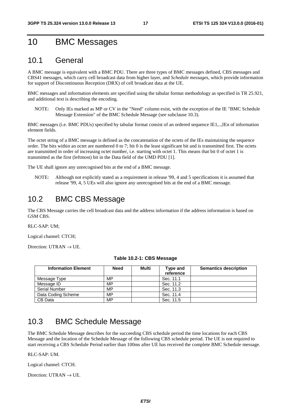# 10 BMC Messages

# 10.1 General

A BMC message is equivalent with a BMC PDU. There are three types of BMC messages defined, CBS messages and CBS41 messages, which carry cell broadcast data from higher layer, and *Schedule messages*, which provide information for support of Discontinuous Reception (DRX) of cell broadcast data at the UE.

BMC messages and information elements are specified using the tabular format methodology as specified in TR 25.921, and additional text is describing the encoding.

NOTE: Only IEs marked as MP or CV in the "Need" column exist, with the exception of the IE "BMC Schedule Message Extension" of the BMC Schedule Message (see subclause 10.3).

BMC messages (i.e. BMC PDUs) specified by tabular format consist of an ordered sequence IE1,..,IEn of information element fields.

The octet string of a BMC message is defined as the concatenation of the octets of the IEs maintaining the sequence order. The bits within an octet are numbered 0 to 7; bit 0 is the least significant bit and is transmitted first. The octets are transmitted in order of increasing octet number, i.e. starting with octet 1. This means that bit 0 of octet 1 is transmitted as the first (leftmost) bit in the Data field of the UMD PDU [1].

The UE shall ignore any unrecognised bits at the end of a BMC message.

NOTE: Although not explicitly stated as a requirement in release '99, 4 and 5 specifications it is assumed that release '99, 4, 5 UEs will also ignore any unrecognised bits at the end of a BMC message.

# 10.2 BMC CBS Message

The CBS Message carries the cell broadcast data and the address information if the address information is based on GSM CBS.

RLC-SAP: UM;

Logical channel: CTCH;

Direction: UTRAN  $\rightarrow$  UE.

| <b>Information Element</b> | <b>Need</b> | Multi | Type and<br>reference | <b>Semantics description</b> |
|----------------------------|-------------|-------|-----------------------|------------------------------|
| Message Type               | MP          |       | Sec. 11.1             |                              |
| Message ID                 | MP          |       | Sec. 11.2             |                              |
| <b>Serial Number</b>       | MP          |       | Sec. 11.3             |                              |
| Data Coding Scheme         | MP          |       | Sec. 11.4             |                              |
| CB Data                    | MP          |       | Sec. 11.5             |                              |

#### **Table 10.2-1: CBS Message**

# 10.3 BMC Schedule Message

The BMC Schedule Message describes for the succeeding CBS schedule period the time locations for each CBS Message and the location of the Schedule Message of the following CBS schedule period. The UE is not required to start receiving a CBS Schedule Period earlier than 100ms after UE has received the complete BMC Schedule message.

#### RLC-SAP: UM.

Logical channel: CTCH.

Direction: UTRAN  $\rightarrow$  UE.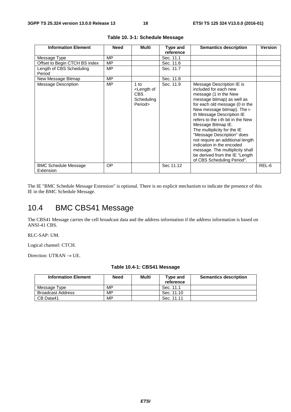| <b>Information Element</b>               | <b>Need</b> | Multi                                                                 | Type and<br>reference | <b>Semantics description</b>                                                                                                                                                                                                                                                                                                                                                                                                                                                                         | <b>Version</b> |
|------------------------------------------|-------------|-----------------------------------------------------------------------|-----------------------|------------------------------------------------------------------------------------------------------------------------------------------------------------------------------------------------------------------------------------------------------------------------------------------------------------------------------------------------------------------------------------------------------------------------------------------------------------------------------------------------------|----------------|
| Message Type                             | MP          |                                                                       | Sec. 11.1             |                                                                                                                                                                                                                                                                                                                                                                                                                                                                                                      |                |
| Offset to Begin CTCH BS index            | MP          |                                                                       | Sec. 11.6             |                                                                                                                                                                                                                                                                                                                                                                                                                                                                                                      |                |
| Length of CBS Scheduling<br>Period       | <b>MP</b>   |                                                                       | Sec. 11.7             |                                                                                                                                                                                                                                                                                                                                                                                                                                                                                                      |                |
| New Message Bitmap                       | <b>MP</b>   |                                                                       | Sec. 11.8             |                                                                                                                                                                                                                                                                                                                                                                                                                                                                                                      |                |
| <b>Message Description</b>               | MP          | $1$ to<br><length of<br="">CBS<br/>Scheduling<br/>Period&gt;</length> | Sec. 11.9             | Message Description IE is<br>included for each new<br>message (1 in the New<br>message bitmap) as well as<br>for each old message (0 in the<br>New message bitmap). The i-<br>th Message Description IE<br>refers to the i-th bit in the New<br>Message Bitmap IE.<br>The multiplicity for the IE<br>"Message Description" does<br>not require an additional length<br>indication in the encoded<br>message. The multiplicity shall<br>be derived from the IE "Length"<br>of CBS Scheduling Period". |                |
| <b>BMC Schedule Message</b><br>Extension | OP          |                                                                       | Sec 11.12             |                                                                                                                                                                                                                                                                                                                                                                                                                                                                                                      | REL-6          |

|  |  |  | Table 10. 3-1: Schedule Message |  |
|--|--|--|---------------------------------|--|
|--|--|--|---------------------------------|--|

The IE "BMC Schedule Message Extension" is optional. There is no explicit mechanism to indicate the presence of this IE in the BMC Schedule Message.

# 10.4 BMC CBS41 Message

The CBS41 Message carries the cell broadcast data and the address information if the address information is based on ANSI-41 CBS.

RLC-SAP: UM.

Logical channel: CTCH.

Direction: UTRAN  $\rightarrow$  UE.

| <b>Information Element</b> | Need | Multi | Type and<br>reference | <b>Semantics description</b> |
|----------------------------|------|-------|-----------------------|------------------------------|
| Message Type               | MP   |       | Sec. 11.1             |                              |
| <b>Broadcast Address</b>   | MP   |       | Sec. 11.10            |                              |
| CB Data41                  | МP   |       | Sec. 11.11            |                              |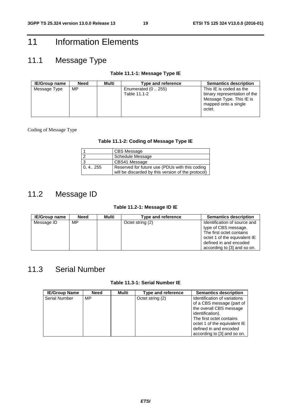# 11 Information Elements

# 11.1 Message Type

### **Table 11.1-1: Message Type IE**

| <b>IE/Group name</b> | Need | Multi | <b>Type and reference</b>           | <b>Semantics description</b>                                                                                          |
|----------------------|------|-------|-------------------------------------|-----------------------------------------------------------------------------------------------------------------------|
| Message Type         | MP   |       | Enumerated $(0255)$<br>Table 11.1-2 | This IE is coded as the<br>binary representation of the<br>Message Type. This IE is<br>mapped onto a single<br>octet. |

#### Coding of Message Type

### **Table 11.1-2: Coding of Message Type IE**

|            | CBS Message                                                                                          |
|------------|------------------------------------------------------------------------------------------------------|
| $\sqrt{2}$ | <b>Schedule Message</b>                                                                              |
| 3          | CBS41 Message                                                                                        |
| 0, 4 255   | Reserved for future use (PDUs with this coding<br>will be discarded by this version of the protocol) |

# 11.2 Message ID

### **Table 11.2-1: Message ID IE**

| <b>IE/Group name</b> | <b>Need</b> | Multi | Type and reference | <b>Semantics description</b> |
|----------------------|-------------|-------|--------------------|------------------------------|
| Message ID           | MP          |       | Octet string (2)   | Identification of source and |
|                      |             |       |                    | type of CBS message.         |
|                      |             |       |                    | The first octet contains     |
|                      |             |       |                    | octet 1 of the equivalent IE |
|                      |             |       |                    | defined in and encoded       |
|                      |             |       |                    | according to [3] and so on.  |

# 11.3 Serial Number

### **Table 11.3-1: Serial Number IE**

| <b>IE/Group Name</b> | <b>Need</b> | Multi | Type and reference | <b>Semantics description</b>                                                                                                                                                                                                  |
|----------------------|-------------|-------|--------------------|-------------------------------------------------------------------------------------------------------------------------------------------------------------------------------------------------------------------------------|
| <b>Serial Number</b> | MP          |       | Octet string (2)   | Identification of variations<br>of a CBS message (part of<br>the overall CBS message<br>identification).<br>The first octet contains<br>octet 1 of the equivalent IE<br>defined in and encoded<br>according to [3] and so on. |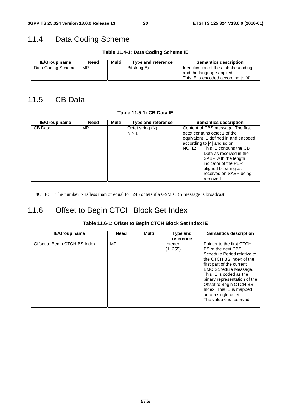# 11.4 Data Coding Scheme

**Table 11.4-1: Data Coding Scheme IE** 

| <b>IE/Group name</b> | Need | Multi | Type and reference | <b>Semantics description</b>                                                                               |
|----------------------|------|-------|--------------------|------------------------------------------------------------------------------------------------------------|
| Data Coding Scheme   | MP   |       | Bitstring(8)       | Identification of the alphabet/coding<br>and the language applied.<br>This IE is encoded according to [4]. |

# 11.5 CB Data

**Table 11.5-1: CB Data IE** 

| <b>IE/Group name</b> | <b>Need</b> | Multi | Type and reference             | <b>Semantics description</b>                                                                                                                                                                                                  |
|----------------------|-------------|-------|--------------------------------|-------------------------------------------------------------------------------------------------------------------------------------------------------------------------------------------------------------------------------|
| CB Data              | MP.         |       | Octet string (N)<br>$N \geq 1$ | Content of CBS message. The first<br>octet contains octet 1 of the<br>equivalent IE defined in and encoded<br>according to [4] and so on.<br>NOTE: This IE contains the CB<br>Data as received in the<br>SABP with the length |
|                      |             |       |                                | indicator of the PER<br>aligned bit string as<br>received on SABP being<br>removed.                                                                                                                                           |

NOTE: The number N is less than or equal to 1246 octets if a GSM CBS message is broadcast.

# 11.6 Offset to Begin CTCH Block Set Index

| <b>IE/Group name</b>          | <b>Need</b> | Multi | Type and<br>reference | <b>Semantics description</b>                                                                                                                                                                                                                                                                                                                  |
|-------------------------------|-------------|-------|-----------------------|-----------------------------------------------------------------------------------------------------------------------------------------------------------------------------------------------------------------------------------------------------------------------------------------------------------------------------------------------|
| Offset to Begin CTCH BS Index | MP          |       | Integer<br>(1255)     | Pointer to the first CTCH<br>BS of the next CBS<br>Schedule Period relative to<br>the CTCH BS index of the<br>first part of the current<br><b>BMC Schedule Message.</b><br>This IE is coded as the<br>binary representation of the<br>Offset to Begin CTCH BS<br>Index. This IE is mapped<br>onto a single octet.<br>The value 0 is reserved. |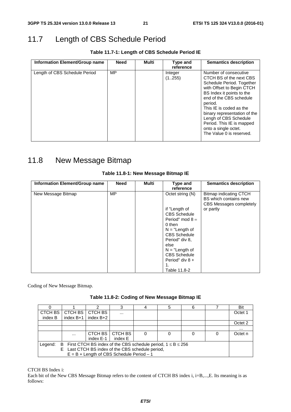# 11.7 Length of CBS Schedule Period

**Table 11.7-1: Length of CBS Schedule Period IE** 

| Type and<br>reference | <b>Semantics description</b>                                                                                                                                                                                                                                                                                                                       |
|-----------------------|----------------------------------------------------------------------------------------------------------------------------------------------------------------------------------------------------------------------------------------------------------------------------------------------------------------------------------------------------|
| Integer<br>(1255)     | Number of consecutive<br>CTCH BS of the next CBS<br>Schedule Period. Together<br>with Offset to Begin CTCH<br>BS Index it points to the<br>end of the CBS schedule<br>period.<br>This IE is coded as the<br>binary representation of the<br>Lengh of CBS Schedule<br>Period. This IE is mapped<br>onto a single octet.<br>The Value 0 is reserved. |
| Multi<br><b>Need</b>  |                                                                                                                                                                                                                                                                                                                                                    |

# 11.8 New Message Bitmap

| Information Element/Group name | <b>Need</b> | <b>Multi</b> | Type and                                                                                                                                                                                                                                      | <b>Semantics description</b>                                                            |
|--------------------------------|-------------|--------------|-----------------------------------------------------------------------------------------------------------------------------------------------------------------------------------------------------------------------------------------------|-----------------------------------------------------------------------------------------|
| New Message Bitmap             | <b>MP</b>   |              | reference<br>Octet string (N)<br>if "Length of<br><b>CBS Schedule</b><br>Period" mod $8 =$<br>0 then<br>$N = "Length of$<br><b>CBS Schedule</b><br>Period" div 8,<br>else<br>$N = "Length of$<br><b>CBS Schedule</b><br>Period" div 8 +<br>1. | Bitmap indicating CTCH<br>BS which contains new<br>CBS Messages completely<br>or partly |
|                                |             |              | Table 11.8-2                                                                                                                                                                                                                                  |                                                                                         |

### **Table 11.8-1: New Message Bitmap IE**

Coding of New Message Bitmap.

|                                                                                |             |                                             |          |  |  | 6 |  | Bit      |
|--------------------------------------------------------------------------------|-------------|---------------------------------------------|----------|--|--|---|--|----------|
| CTCH BS                                                                        | CTCH BS     | CTCH BS                                     | $\cdots$ |  |  |   |  | Octet 1  |
| index B                                                                        | index $B+1$ | index B+2                                   |          |  |  |   |  |          |
|                                                                                |             |                                             |          |  |  |   |  | Octet 2  |
|                                                                                |             |                                             |          |  |  |   |  | $\cdots$ |
|                                                                                | $\cdots$    | <b>CTCH BS</b>                              | CTCH BS  |  |  |   |  | Octet n  |
|                                                                                |             | index E-1                                   | index E  |  |  |   |  |          |
| B First CTCH BS index of the CBS schedule period, $1 \le B \le 256$<br>Legend: |             |                                             |          |  |  |   |  |          |
| E Last CTCH BS index of the CBS schedule period,                               |             |                                             |          |  |  |   |  |          |
|                                                                                |             | $E = B + Length$ of CBS Schedule Period - 1 |          |  |  |   |  |          |

CTCH BS Index i:

Each bit of the New CBS Message Bitmap refers to the content of CTCH BS index i, i=B,...,E. Its meaning is as follows: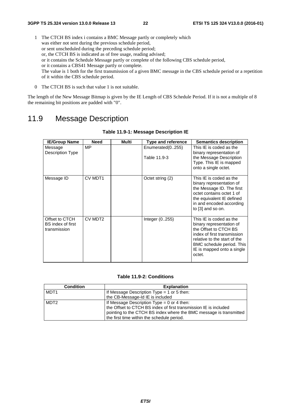- 1 The CTCH BS index i contains a BMC Message partly or completely which was either not sent during the previous schedule period, or sent unscheduled during the preceding schedule period; or, the CTCH BS is indicated as of free usage, reading advised; or it contains the Schedule Message partly or complete of the following CBS schedule period, or it contains a CBS41 Message partly or complete. The value is 1 both for the first transmission of a given BMC message in the CBS schedule period or a repetition of it within the CBS schedule period.
- 0 The CTCH BS is such that value 1 is not suitable.

The length of the New Message Bitmap is given by the IE Length of CBS Schedule Period. If it is not a multiple of 8 the remaining bit positions are padded with "0".

# 11.9 Message Description

| <b>IE/Group Name</b>                                | <b>Need</b>         | Multi | <b>Type and reference</b>        | <b>Semantics description</b>                                                                                                                                                                                     |
|-----------------------------------------------------|---------------------|-------|----------------------------------|------------------------------------------------------------------------------------------------------------------------------------------------------------------------------------------------------------------|
| Message<br>Description Type                         | <b>MP</b>           |       | Enumerated(0255)<br>Table 11.9-3 | This IE is coded as the<br>binary representation of<br>the Message Description<br>Type. This IE is mapped<br>onto a single octet.                                                                                |
| Message ID                                          | CV MDT1             |       | Octet string (2)                 | This IE is coded as the<br>binary representation of<br>the Message ID. The first<br>octet contains octet 1 of<br>the equivalent IE defined<br>in and encoded according<br>to [3] and so on.                      |
| Offset to CTCH<br>BS index of first<br>transmission | CV MDT <sub>2</sub> |       | Integer $(0.255)$                | This IE is coded as the<br>binary representation of<br>the Offset to CTCH BS<br>index of first transmission<br>relative to the start of the<br>BMC schedule period. This<br>IE is mapped onto a single<br>octet. |

### **Table 11.9-1: Message Description IE**

#### **Table 11.9-2: Conditions**

| <b>Condition</b> | <b>Explanation</b>                                                 |
|------------------|--------------------------------------------------------------------|
| MDT <sub>1</sub> | If Message Description Type $=$ 1 or 5 then:                       |
|                  | the CB-Message-Id IE is included                                   |
| MDT <sub>2</sub> | If Message Description Type $= 0$ or 4 then:                       |
|                  | the Offset to CTCH BS index of first transmission IE is included   |
|                  | pointing to the CTCH BS index where the BMC message is transmitted |
|                  | the first time within the schedule period.                         |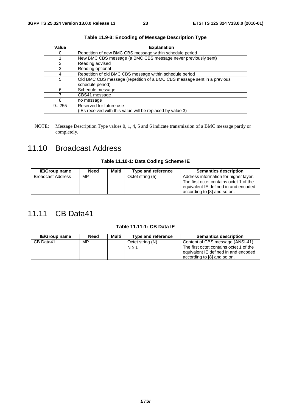| Value | <b>Explanation</b>                                                      |
|-------|-------------------------------------------------------------------------|
| O     | Repetition of new BMC CBS message within schedule period                |
|       | New BMC CBS message (a BMC CBS message never previously sent)           |
| 2     | Reading advised                                                         |
| 3     | Reading optional                                                        |
| 4     | Repetition of old BMC CBS message within schedule period                |
| 5     | Old BMC CBS message (repetition of a BMC CBS message sent in a previous |
|       | schedule period)                                                        |
| 6     | Schedule message                                                        |
|       | CBS41 message                                                           |
| 8     | no message                                                              |
| 9.255 | Reserved for future use                                                 |
|       | (IEs received with this value will be replaced by value 3)              |

**Table 11.9-3: Encoding of Message Description Type** 

NOTE: Message Description Type values 0, 1, 4, 5 and 6 indicate transmission of a BMC message partly or completely.

# 11.10 Broadcast Address

### **Table 11.10-1: Data Coding Scheme IE**

| <b>IE/Group name</b> | <b>Need</b> | Multi | Type and reference | <b>Semantics description</b>                                                                                                                            |
|----------------------|-------------|-------|--------------------|---------------------------------------------------------------------------------------------------------------------------------------------------------|
| Broadcast Address    | МP          |       | Octet string (5)   | Address information for higher layer.<br>The first octet contains octet 1 of the<br>equivalent IE defined in and encoded<br>according to [8] and so on. |

# 11.11 CB Data41

### **Table 11.11-1: CB Data IE**

| <b>IE/Group name</b> | <b>Need</b> | Multi | Type and reference        | <b>Semantics description</b>                                                                                                                        |
|----------------------|-------------|-------|---------------------------|-----------------------------------------------------------------------------------------------------------------------------------------------------|
| CB Data41            | MP.         |       | Octet string (N)<br>N > 1 | Content of CBS message (ANSI-41).<br>The first octet contains octet 1 of the<br>equivalent IE defined in and encoded<br>according to [8] and so on. |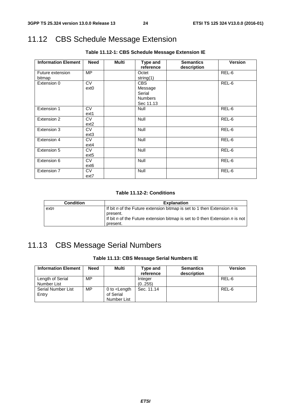# 11.12 CBS Schedule Message Extension

| <b>Information Element</b> | <b>Need</b>      | <b>Multi</b> | Type and       | <b>Semantics</b> | <b>Version</b> |
|----------------------------|------------------|--------------|----------------|------------------|----------------|
|                            |                  |              | reference      | description      |                |
| Future extension           | MP               |              | Octet          |                  | REL-6          |
| bitmap                     |                  |              | string(1)      |                  |                |
| Extension 0                | <b>CV</b>        |              | <b>CBS</b>     |                  | REL-6          |
|                            | ext <sub>0</sub> |              | Message        |                  |                |
|                            |                  |              | Serial         |                  |                |
|                            |                  |              | <b>Numbers</b> |                  |                |
|                            |                  |              | Sec 11.13      |                  |                |
| Extension 1                | <b>CV</b>        |              | <b>Null</b>    |                  | REL-6          |
|                            | ext1             |              |                |                  |                |
| Extension 2                | <b>CV</b>        |              | <b>Null</b>    |                  | REL-6          |
|                            | ext <sub>2</sub> |              |                |                  |                |
| Extension 3                | <b>CV</b>        |              | Null           |                  | REL-6          |
|                            | $ext{3}$         |              |                |                  |                |
| Extension 4                | <b>CV</b>        |              | Null           |                  | REL-6          |
|                            | $ext{4}$         |              |                |                  |                |
| Extension 5                | <b>CV</b>        |              | Null           |                  | REL-6          |
|                            | ext <sub>5</sub> |              |                |                  |                |
| Extension 6                | <b>CV</b>        |              | Null           |                  | REL-6          |
|                            | ext <sub>6</sub> |              |                |                  |                |
| Extension 7                | <b>CV</b>        |              | Null           |                  | REL-6          |
|                            | ext7             |              |                |                  |                |

**Table 11.12-1: CBS Schedule Message Extension IE** 

#### **Table 11.12-2: Conditions**

| <b>Condition</b> | <b>Explanation</b>                                                                        |
|------------------|-------------------------------------------------------------------------------------------|
| extn             | If bit n of the Future extension bitmap is set to 1 then Extension n is<br>present.       |
|                  | If bit n of the Future extension bitmap is set to 0 then Extension n is not  <br>present. |

# 11.13 CBS Message Serial Numbers

### **Table 11.13: CBS Message Serial Numbers IE**

| <b>Information Element</b>      | <b>Need</b> | Multi                                              | Type and<br>reference | <b>Semantics</b><br>description | <b>Version</b> |
|---------------------------------|-------------|----------------------------------------------------|-----------------------|---------------------------------|----------------|
| Length of Serial<br>Number List | МP          |                                                    | Integer<br>(0255)     |                                 | REL-6          |
| Serial Number List<br>Entry     | МP          | 0 to $\epsilon$ Length<br>of Serial<br>Number List | Sec. 11.14            |                                 | REL-6          |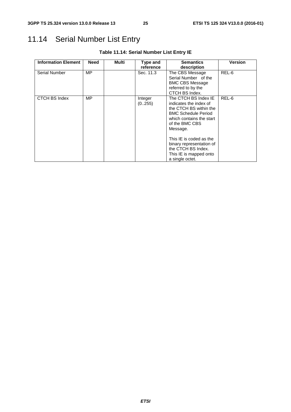# 11.14 Serial Number List Entry

| <b>Information Element</b> | Need      | Multi | Type and          | <b>Semantics</b>                                                                                                                                                                                                                                                                           | <b>Version</b> |
|----------------------------|-----------|-------|-------------------|--------------------------------------------------------------------------------------------------------------------------------------------------------------------------------------------------------------------------------------------------------------------------------------------|----------------|
|                            |           |       | reference         | description                                                                                                                                                                                                                                                                                |                |
| <b>Serial Number</b>       | <b>MP</b> |       | Sec. 11.3         | The CBS Message<br>Serial Number of the<br><b>BMC CBS Message</b><br>referred to by the<br>CTCH BS Index.                                                                                                                                                                                  | REL-6          |
| CTCH BS Index              | <b>MP</b> |       | Integer<br>(0255) | The CTCH BS Index IE<br>indicates the index of<br>the CTCH BS within the<br><b>BMC Schedule Period</b><br>which contains the start<br>of the BMC CBS<br>Message.<br>This IE is coded as the<br>binary representation of<br>the CTCH BS Index.<br>This IE is mapped onto<br>a single octet. | REL-6          |

**Table 11.14: Serial Number List Entry IE**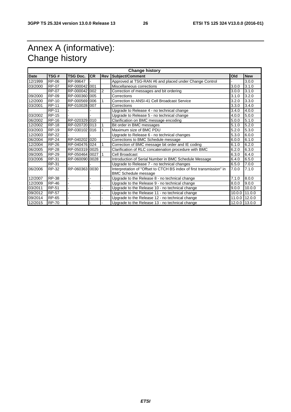# Annex A (informative): Change history

| <b>Change history</b> |              |                |           |     |                                                                                                     |        |            |  |
|-----------------------|--------------|----------------|-----------|-----|-----------------------------------------------------------------------------------------------------|--------|------------|--|
| <b>Date</b>           | TSG#         | TSG Doc.       | <b>CR</b> | Rev | <b>Subject/Comment</b>                                                                              | Old    | <b>New</b> |  |
| 12/1999               | <b>RP-06</b> | RP-99647       |           |     | Approved at TSG-RAN #6 and placed under Change Control                                              |        | 3.0.0      |  |
| 03/2000               | <b>RP-07</b> | RP-000042 001  |           |     | Miscellaneous corrections<br>3.0.0                                                                  |        | 3.1.0      |  |
|                       | <b>RP-07</b> | RP-000042 002  |           | 2   | Correction of messages and bit ordering                                                             | 3.0.0  | 3.1.0      |  |
| 09/2000               | <b>RP-09</b> | RP-000360 005  |           |     | Corrections                                                                                         | 3.1.0  | 3.2.0      |  |
| 12/2000               | <b>RP-10</b> | RP-000569 006  |           |     | Correction to ANSI-41 Cell Broadcast Service                                                        | 3.2.0  | 3.3.0      |  |
| 03/2001               | <b>RP-11</b> | RP-010028 007  |           |     | Corrections                                                                                         | 3.3.0  | 3.4.0      |  |
|                       | <b>RP-11</b> |                |           |     | Upgrade to Release 4 - no technical change                                                          | 3.4.0  | 4.0.0      |  |
| 03/2002               | <b>RP-15</b> |                |           |     | Upgrade to Release 5 - no technical change                                                          | 4.0.0  | 5.0.0      |  |
| 06/2002               | <b>RP-16</b> | RP-020329 010  |           |     | Clarification on BMC message encoding                                                               | 5.0.0  | 5.1.0      |  |
| 12/2002               | <b>RP-18</b> | RP-020720 013  |           |     | Bit order in BMC messages                                                                           | 5.1.0  | 5.2.0      |  |
| 03/2003               | <b>RP-19</b> | RP-030102 016  |           |     | Maximum size of BMC PDU                                                                             | 5.2.0  | 5.3.0      |  |
| 12/2003               | <b>RP-22</b> |                |           |     | Upgrade to Release 6 - no technical changes                                                         | 5.3.0  | 6.0.0      |  |
| 06/2004               | <b>RP-24</b> | RP-040202 020  |           |     | Corrections to BMC Schedule message                                                                 | 6.0.0  | 6.1.0      |  |
| 12/2004               | <b>RP-26</b> | RP-040476 024  |           |     | Correction of BMC message bit order and IE coding                                                   | 6.1.0  | 6.2.0      |  |
| 06/2005               | <b>RP-28</b> | RP-050319 0025 |           |     | Clarification of RLC concatenation procedure with BMC                                               | 6.2.0  | 6.3.0      |  |
| 09/2005               | <b>RP-29</b> | RP-050464 0027 |           |     | Cell Broadcast                                                                                      | 6.3.0  | 6.4.0      |  |
| 03/2006               | <b>RP-31</b> | RP-060090 0028 |           |     | Introduction of Serial Number in BMC Schedule Message                                               | 6.4.0  | 6.5.0      |  |
|                       | RP-31        |                |           |     | Upgrade to Release 7 - no technical changes                                                         | 6.5.0  | 7.0.0      |  |
| 06/2006               | <b>RP-32</b> | RP-060363 0030 |           |     | Interpretation of "Offset to CTCH BS index of first transmission" in<br><b>BMC Schedule message</b> | 7.0.0  | 7.1.0      |  |
| 12/2007               | <b>RP-38</b> |                |           |     | Upgrade to the Release 8 - no technical change                                                      | 7.1.0  | 8.0.0      |  |
| 12/2009               | <b>RP-46</b> |                |           |     | Upgrade to the Release 9 - no technical change                                                      | 8.0.0  | 9.0.0      |  |
| 03/2011               | RP-51        |                |           |     | Upgrade to the Release 10 - no technical change                                                     | 9.0.0  | 10.0.0     |  |
| 09/2012               | <b>RP-57</b> |                |           |     | Upgrade to the Release 11 - no technical change                                                     | 10.0.0 | 11.0.0     |  |
| 09/2014               | <b>RP-65</b> |                |           |     | Upgrade to the Release 12 - no technical change                                                     | 11.0.0 | 12.0.0     |  |
| 12/2015               | <b>RP-70</b> |                |           |     | Upgrade to the Release 13 - no technical change                                                     | 12.0.0 | 13.0.0     |  |